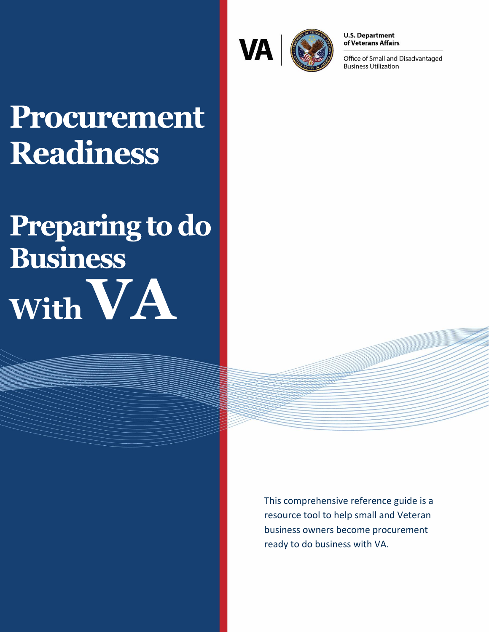

**U.S. Department** of Veterans Affairs

Office of Small and Disadvantaged **Business Utilization** 

## Procurement **Readiness**

# Preparing to do **Business WithVA**

This comprehensive reference guide is a resource tool to help small and Veteran business owners become procurement ready to do business with VA.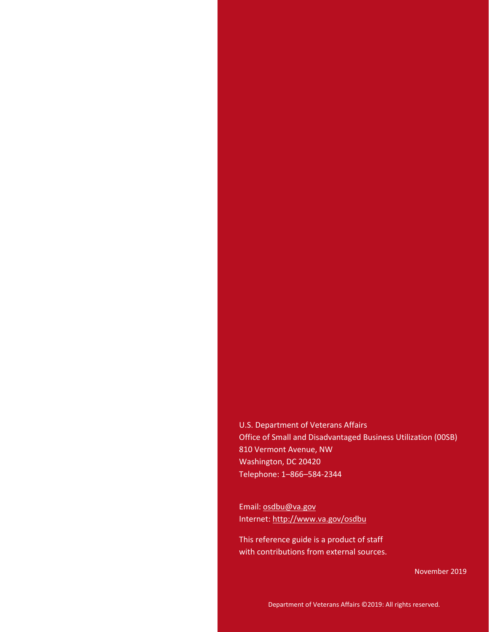U.S. Department of Veterans Affairs Office of Small and Disadvantaged Business Utilization (00SB) 810 Vermont Avenue, NW Washington, DC 20420 Telephone: 1–866–584-2344

Email[: osdbu@va.gov](mailto:osdbu@va.gov?subject=Doing%20Business%20with%20VA) Internet[: http://www.va.gov/osdbu](http://www.va.gov/osdbu)

This reference guide is a product of staff with contributions from external sources.

November 2019

Department of Veterans Affairs ©2019: All rights reserved.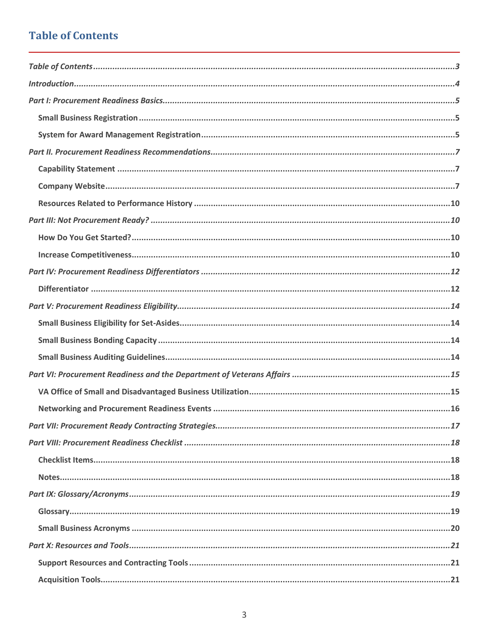## <span id="page-2-0"></span>**Table of Contents**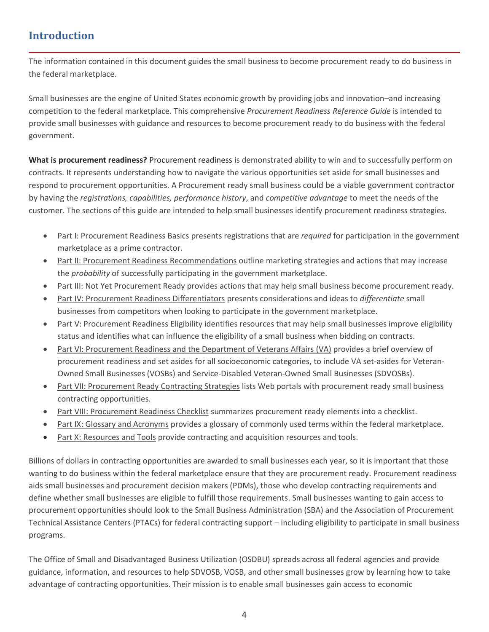## <span id="page-3-0"></span>**Introduction**

The information contained in this document guides the small business to become procurement ready to do business in the federal marketplace.

Small businesses are the engine of United States economic growth by providing jobs and innovation–and increasing competition to the federal marketplace. This comprehensive *Procurement Readiness Reference Guide* is intended to provide small businesses with guidance and resources to become procurement ready to do business with the federal government.

**What is procurement readiness?** Procurement readiness is demonstrated ability to win and to successfully perform on contracts. It represents understanding how to navigate the various opportunities set aside for small businesses and respond to procurement opportunities. A Procurement ready small business could be a viable government contractor by having the *registrations, capabilities, performance history*, and *competitive advantage* to meet the needs of the customer. The sections of this guide are intended to help small businesses identify procurement readiness strategies.

- Part I: Procurement Readiness Basics presents registrations that are *required* for participation in the government marketplace as a prime contractor.
- Part II: Procurement Readiness Recommendations outline marketing strategies and actions that may increase the *probability* of successfully participating in the government marketplace.
- Part III: Not Yet Procurement Ready provides actions that may help small business become procurement ready.
- Part IV: Procurement Readiness Differentiators presents considerations and ideas to *differentiate* small businesses from competitors when looking to participate in the government marketplace.
- Part V: Procurement Readiness Eligibility identifies resources that may help small businesses improve eligibility status and identifies what can influence the eligibility of a small business when bidding on contracts.
- Part VI: Procurement Readiness and the Department of Veterans Affairs (VA) provides a brief overview of procurement readiness and set asides for all socioeconomic categories, to include VA set-asides for Veteran-Owned Small Businesses (VOSBs) and Service-Disabled Veteran-Owned Small Businesses (SDVOSBs).
- Part VII: Procurement Ready Contracting Strategies lists Web portals with procurement ready small business contracting opportunities.
- Part VIII: Procurement Readiness Checklist summarizes procurement ready elements into a checklist.
- Part IX: Glossary and Acronyms provides a glossary of commonly used terms within the federal marketplace.
- Part X: Resources and Tools provide contracting and acquisition resources and tools.

Billions of dollars in contracting opportunities are awarded to small businesses each year, so it is important that those wanting to do business within the federal marketplace ensure that they are procurement ready. Procurement readiness aids small businesses and procurement decision makers (PDMs), those who develop contracting requirements and define whether small businesses are eligible to fulfill those requirements. Small businesses wanting to gain access to procurement opportunities should look to the Small Business Administration (SBA) and the Association of Procurement Technical Assistance Centers (PTACs) for federal contracting support – including eligibility to participate in small business programs.

The Office of Small and Disadvantaged Business Utilization (OSDBU) spreads across all federal agencies and provide guidance, information, and resources to help SDVOSB, VOSB, and other small businesses grow by learning how to take advantage of contracting opportunities. Their mission is to enable small businesses gain access to economic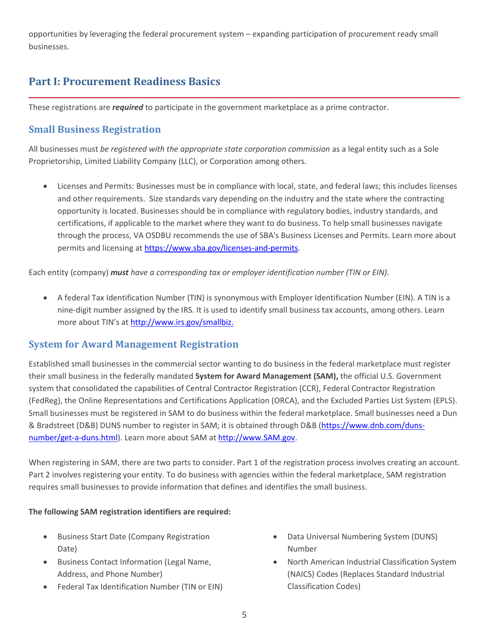opportunities by leveraging the federal procurement system – expanding participation of procurement ready small businesses.

## <span id="page-4-0"></span>**Part I: Procurement Readiness Basics**

These registrations are *required* to participate in the government marketplace as a prime contractor.

## <span id="page-4-1"></span>**Small Business Registration**

All businesses must *be registered with the appropriate state corporation commission* as a legal entity such as a Sole Proprietorship, Limited Liability Company (LLC), or Corporation among others.

• Licenses and Permits: Businesses must be in compliance with local, state, and federal laws; this includes licenses and other requirements. Size standards vary depending on the industry and the state where the contracting opportunity is located. Businesses should be in compliance with regulatory bodies, industry standards, and certifications, if applicable to the market where they want to do business. To help small businesses navigate through the process, VA OSDBU recommends the use of SBA's Business Licenses and Permits. Learn more about permits and licensing at [https://www.sba.gov/licenses-and-permits.](https://www.sba.gov/licenses-and-permits)

Each entity (company) *must have a corresponding tax or employer identification number (TIN or EIN).*

• A federal Tax Identification Number (TIN) is synonymous with Employer Identification Number (EIN). A TIN is a nine-digit number assigned by the IRS. It is used to identify small business tax accounts, among others. Learn more about TIN's at [http://www.irs.gov/smallbiz.](http://www.irs.gov/smallbiz)

#### <span id="page-4-2"></span>**System for Award Management Registration**

Established small businesses in the commercial sector wanting to do business in the federal marketplace must register their small business in the federally mandated **System for Award Management (SAM),** the official U.S. Government system that consolidated the capabilities of Central Contractor Registration (CCR), Federal Contractor Registration (FedReg), the Online Representations and Certifications Application (ORCA), and the Excluded Parties List System (EPLS). Small businesses must be registered in SAM to do business within the federal marketplace. Small businesses need a Dun & Bradstreet (D&B) DUNS number to register in SAM; it is obtained through D&B [\(https://www.dnb.com/duns](https://www.dnb.com/duns-number/get-a-duns.html)[number/get-a-duns.html\)](https://www.dnb.com/duns-number/get-a-duns.html). Learn more about SAM at [http://www.SAM.gov.](http://www.sam.gov/)

When registering in SAM, there are two parts to consider. Part 1 of the registration process involves creating an account. Part 2 involves registering your entity. To do business with agencies within the federal marketplace, SAM registration requires small businesses to provide information that defines and identifies the small business.

#### **The following SAM registration identifiers are required:**

- Business Start Date (Company Registration Date)
- Business Contact Information (Legal Name, Address, and Phone Number)
- Federal Tax Identification Number (TIN or EIN)
- Data Universal Numbering System (DUNS) Number
- North American Industrial Classification System (NAICS) Codes (Replaces Standard Industrial Classification Codes)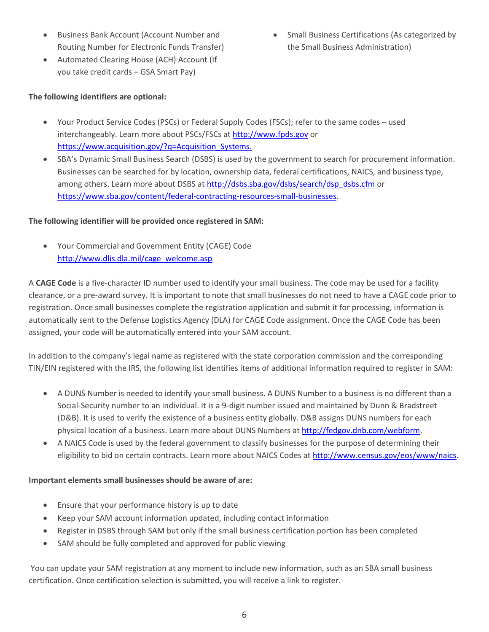- Business Bank Account (Account Number and Routing Number for Electronic Funds Transfer)
- Automated Clearing House (ACH) Account (If you take credit cards – GSA Smart Pay)
- **The following identifiers are optional:**

• Small Business Certifications (As categorized by the Small Business Administration)

- Your Product Service Codes (PSCs) or Federal Supply Codes (FSCs); refer to the same codes used interchangeably. Learn more about PSCs/FSCs at [http://www.fpds.gov](http://www.fpds.gov/) or https://www.acquisition.gov/?q=Acquisition Systems.
- SBA's Dynamic Small Business Search (DSBS) is used by the government to search for procurement information. Businesses can be searched for by location, ownership data, federal certifications, NAICS, and business type, among others. Learn more about DSBS at [http://dsbs.sba.gov/dsbs/search/dsp\\_dsbs.cfm](http://dsbs.sba.gov/dsbs/search/dsp_dsbs.cfm) or [https://www.sba.gov/content/federal-contracting-resources-small-businesses.](https://www.sba.gov/content/federal-contracting-resources-small-businesses)

#### **The following identifier will be provided once registered in SAM:**

• Your Commercial and Government Entity (CAGE) Code [http://www.dlis.dla.mil/cage\\_welcome.asp](http://www.dlis.dla.mil/cage_welcome.asp)

A **CAGE Code** is a five-character ID number used to identify your small business. The code may be used for a facility clearance, or a pre-award survey. It is important to note that small businesses do not need to have a CAGE code prior to registration. Once small businesses complete the registration application and submit it for processing, information is automatically sent to the Defense Logistics Agency (DLA) for CAGE Code assignment. Once the CAGE Code has been assigned, your code will be automatically entered into your SAM account.

In addition to the company's legal name as registered with the state corporation commission and the corresponding TIN/EIN registered with the IRS, the following list identifies items of additional information required to register in SAM:

- A DUNS Number is needed to identify your small business. A DUNS Number to a business is no different than a Social-Security number to an individual. It is a 9-digit number issued and maintained by Dunn & Bradstreet (D&B). It is used to verify the existence of a business entity globally. D&B assigns DUNS numbers for each physical location of a business. Learn more about DUNS Numbers at [http://fedgov.dnb.com/webform.](http://fedgov.dnb.com/webform)
- A NAICS Code is used by the federal government to classify businesses for the purpose of determining their eligibility to bid on certain contracts. Learn more about NAICS Codes at [http://www.census.gov/eos/www/naics.](http://www.census.gov/eos/www/naics/)

#### **Important elements small businesses should be aware of are:**

- Ensure that your performance history is up to date
- Keep your SAM account information updated, including contact information
- Register in DSBS through SAM but only if the small business certification portion has been completed
- SAM should be fully completed and approved for public viewing

You can update your SAM registration at any moment to include new information, such as an SBA small business certification. Once certification selection is submitted, you will receive a link to register.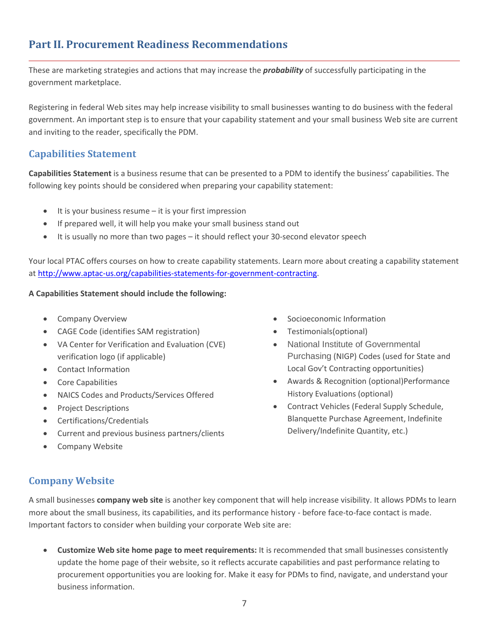## <span id="page-6-0"></span>**Part II. Procurement Readiness Recommendations**

These are marketing strategies and actions that may increase the *probability* of successfully participating in the government marketplace.

Registering in federal Web sites may help increase visibility to small businesses wanting to do business with the federal government. An important step is to ensure that your capability statement and your small business Web site are current and inviting to the reader, specifically the PDM.

#### <span id="page-6-1"></span>**Capabilities Statement**

**Capabilities Statement** is a business resume that can be presented to a PDM to identify the business' capabilities. The following key points should be considered when preparing your capability statement:

- It is your business resume it is your first impression
- If prepared well, it will help you make your small business stand out
- It is usually no more than two pages it should reflect your 30-second elevator speech

Your local PTAC offers courses on how to create capability statements. Learn more about creating a capability statement at [http://www.aptac-us.org/capabilities-statements-for-government-contracting.](http://www.aptac-us.org/capabilities-statements-for-government-contracting/)

#### **A Capabilities Statement should include the following:**

- Company Overview
- CAGE Code (identifies SAM registration)
- VA Center for Verification and Evaluation (CVE) verification logo (if applicable)
- Contact Information
- Core Capabilities
- NAICS Codes and Products/Services Offered
- Project Descriptions
- Certifications/Credentials
- Current and previous business partners/clients
- Company Website

## <span id="page-6-2"></span>**Company Website**

A small businesses **company web site** is another key component that will help increase visibility. It allows PDMs to learn more about the small business, its capabilities, and its performance history - before face-to-face contact is made. Important factors to consider when building your corporate Web site are:

• **Customize Web site home page to meet requirements:** It is recommended that small businesses consistently update the home page of their website, so it reflects accurate capabilities and past performance relating to procurement opportunities you are looking for. Make it easy for PDMs to find, navigate, and understand your business information.

- Socioeconomic Information
- Testimonials(optional)
- National Institute of Governmental Purchasing (NIGP) Codes (used for State and Local Gov't Contracting opportunities)
- Awards & Recognition (optional)Performance History Evaluations (optional)
- Contract Vehicles (Federal Supply Schedule, Blanquette Purchase Agreement, Indefinite Delivery/Indefinite Quantity, etc.)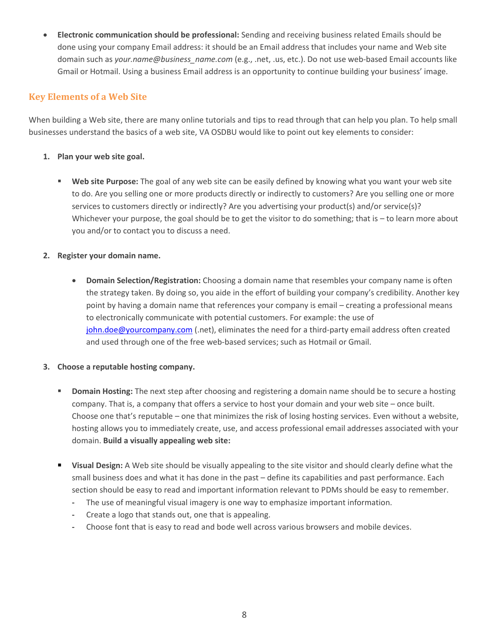• **Electronic communication should be professional:** Sending and receiving business related Emails should be done using your company Email address: it should be an Email address that includes your name and Web site domain such as *your.name@business\_name.com* (e.g., .net, .us, etc.). Do not use web-based Email accounts like Gmail or Hotmail. Using a business Email address is an opportunity to continue building your business' image.

#### **Key Elements of a Web Site**

When building a Web site, there are many online tutorials and tips to read through that can help you plan. To help small businesses understand the basics of a web site, VA OSDBU would like to point out key elements to consider:

#### **1. Plan your web site goal.**

**EXECT Web site Purpose:** The goal of any web site can be easily defined by knowing what you want your web site to do. Are you selling one or more products directly or indirectly to customers? Are you selling one or more services to customers directly or indirectly? Are you advertising your product(s) and/or service(s)? Whichever your purpose, the goal should be to get the visitor to do something; that is - to learn more about you and/or to contact you to discuss a need.

#### **2. Register your domain name.**

• **Domain Selection/Registration:** Choosing a domain name that resembles your company name is often the strategy taken. By doing so, you aide in the effort of building your company's credibility. Another key point by having a domain name that references your company is email – creating a professional means to electronically communicate with potential customers. For example: the use of [john.doe@yourcompany.com](mailto:john.doe@yourcompany.com) (.net), eliminates the need for a third-party email address often created and used through one of the free web-based services; such as Hotmail or Gmail.

#### **3. Choose a reputable hosting company.**

- **Domain Hosting:** The next step after choosing and registering a domain name should be to secure a hosting company. That is, a company that offers a service to host your domain and your web site – once built. Choose one that's reputable – one that minimizes the risk of losing hosting services. Even without a website, hosting allows you to immediately create, use, and access professional email addresses associated with your domain. **Build a visually appealing web site:**
- **Visual Design:** A Web site should be visually appealing to the site visitor and should clearly define what the small business does and what it has done in the past – define its capabilities and past performance. Each section should be easy to read and important information relevant to PDMs should be easy to remember.
	- **-** The use of meaningful visual imagery is one way to emphasize important information.
	- **-** Create a logo that stands out, one that is appealing.
	- **-** Choose font that is easy to read and bode well across various browsers and mobile devices.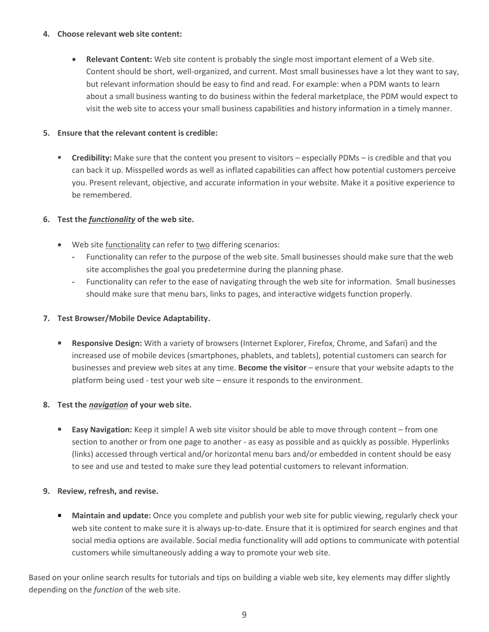#### **4. Choose relevant web site content:**

• **Relevant Content:** Web site content is probably the single most important element of a Web site. Content should be short, well-organized, and current. Most small businesses have a lot they want to say, but relevant information should be easy to find and read. For example: when a PDM wants to learn about a small business wanting to do business within the federal marketplace, the PDM would expect to visit the web site to access your small business capabilities and history information in a timely manner.

#### **5. Ensure that the relevant content is credible:**

**EXP** Credibility: Make sure that the content you present to visitors – especially PDMs – is credible and that you can back it up. Misspelled words as well as inflated capabilities can affect how potential customers perceive you. Present relevant, objective, and accurate information in your website. Make it a positive experience to be remembered.

#### **6. Test the** *functionality* **of the web site.**

- Web site functionality can refer to two differing scenarios:
	- **-** Functionality can refer to the purpose of the web site. Small businesses should make sure that the web site accomplishes the goal you predetermine during the planning phase.
	- **-** Functionality can refer to the ease of navigating through the web site for information. Small businesses should make sure that menu bars, links to pages, and interactive widgets function properly.

#### **7. Test Browser/Mobile Device Adaptability.**

**Responsive Design:** With a variety of browsers (Internet Explorer, Firefox, Chrome, and Safari) and the increased use of mobile devices (smartphones, phablets, and tablets), potential customers can search for businesses and preview web sites at any time. **Become the visitor** – ensure that your website adapts to the platform being used - test your web site – ensure it responds to the environment.

#### **8. Test the** *navigation* **of your web site.**

**Easy Navigation:** Keep it simple! A web site visitor should be able to move through content – from one section to another or from one page to another - as easy as possible and as quickly as possible. Hyperlinks (links) accessed through vertical and/or horizontal menu bars and/or embedded in content should be easy to see and use and tested to make sure they lead potential customers to relevant information.

#### **9. Review, refresh, and revise.**

**EXT** Maintain and update: Once you complete and publish your web site for public viewing, regularly check your web site content to make sure it is always up-to-date. Ensure that it is optimized for search engines and that social media options are available. Social media functionality will add options to communicate with potential customers while simultaneously adding a way to promote your web site.

Based on your online search results for tutorials and tips on building a viable web site, key elements may differ slightly depending on the *function* of the web site.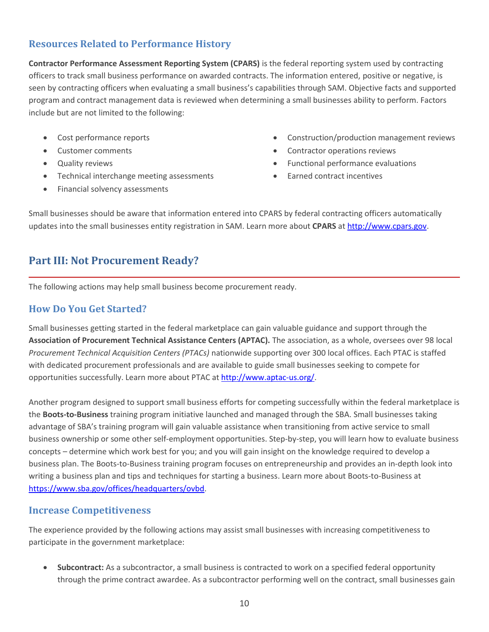## <span id="page-9-0"></span>**Resources Related to Performance History**

**Contractor Performance Assessment Reporting System (CPARS)** is the federal reporting system used by contracting officers to track small business performance on awarded contracts. The information entered, positive or negative, is seen by contracting officers when evaluating a small business's capabilities through SAM. Objective facts and supported program and contract management data is reviewed when determining a small businesses ability to perform. Factors include but are not limited to the following:

- Cost performance reports
- Customer comments
- Quality reviews
- Technical interchange meeting assessments
- Financial solvency assessments
- Construction/production management reviews
- Contractor operations reviews
- Functional performance evaluations
- Earned contract incentives

Small businesses should be aware that information entered into CPARS by federal contracting officers automatically updates into the small businesses entity registration in SAM. Learn more about **CPARS** at [http://www.cpars.gov.](http://www.cpars.gov/)

## <span id="page-9-1"></span>**Part III: Not Procurement Ready?**

The following actions may help small business become procurement ready.

#### <span id="page-9-2"></span>**How Do You Get Started?**

Small businesses getting started in the federal marketplace can gain valuable guidance and support through the **Association of Procurement Technical Assistance Centers (APTAC).** The association, as a whole, oversees over 98 local *Procurement Technical Acquisition Centers (PTACs)* nationwide supporting over 300 local offices. Each PTAC is staffed with dedicated procurement professionals and are available to guide small businesses seeking to compete for opportunities successfully. Learn more about PTAC at [http://www.aptac-us.org/.](http://www.aptac-us.org/)

Another program designed to support small business efforts for competing successfully within the federal marketplace is the **Boots-to-Business** training program initiative launched and managed through the SBA. Small businesses taking advantage of SBA's training program will gain valuable assistance when transitioning from active service to small business ownership or some other self-employment opportunities. Step-by-step, you will learn how to evaluate business concepts – determine which work best for you; and you will gain insight on the knowledge required to develop a business plan. The Boots-to-Business training program focuses on entrepreneurship and provides an in-depth look into writing a business plan and tips and techniques for starting a business. Learn more about Boots-to-Business at [https://www.sba.gov/offices/headquarters/ovbd.](https://www.sba.gov/offices/headquarters/ovbd)

#### <span id="page-9-3"></span>**Increase Competitiveness**

The experience provided by the following actions may assist small businesses with increasing competitiveness to participate in the government marketplace:

• **Subcontract:** As a subcontractor, a small business is contracted to work on a specified federal opportunity through the prime contract awardee. As a subcontractor performing well on the contract, small businesses gain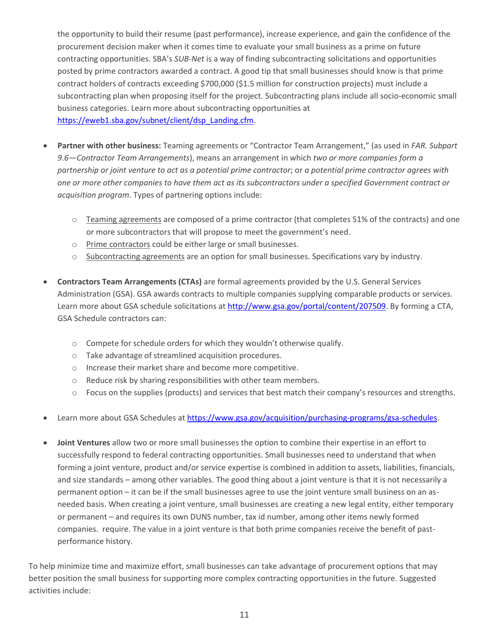the opportunity to build their resume (past performance), increase experience, and gain the confidence of the procurement decision maker when it comes time to evaluate your small business as a prime on future contracting opportunities. SBA's *SUB-Net* is a way of finding subcontracting solicitations and opportunities posted by prime contractors awarded a contract. A good tip that small businesses should know is that prime contract holders of contracts exceeding \$700,000 (\$1.5 million for construction projects) must include a subcontracting plan when proposing itself for the project. Subcontracting plans include all socio-economic small business categories. Learn more about subcontracting opportunities at [https://eweb1.sba.gov/subnet/client/dsp\\_Landing.cfm.](https://eweb1.sba.gov/subnet/client/dsp_Landing.cfm)

- **Partner with other business:** Teaming agreements or "Contractor Team Arrangement," (as used in *FAR. Subpart 9.6—Contractor Team Arrangements*), means an arrangement in which *two or more companies form a partnership or joint venture to act as a potential prime contractor*; or *a potential prime contractor agrees with one or more other companies to have them act as its subcontractors under a specified Government contract or acquisition program.* Types of partnering options include:
	- $\circ$  Teaming agreements are composed of a prime contractor (that completes 51% of the contracts) and one or more subcontractors that will propose to meet the government's need.
	- o Prime contractors could be either large or small businesses.
	- o Subcontracting agreements are an option for small businesses. Specifications vary by industry.
- **Contractors Team Arrangements (CTAs)** are formal agreements provided by the U.S. General Services Administration (GSA). GSA awards contracts to multiple companies supplying comparable products or services. Learn more about GSA schedule solicitations at [http://www.gsa.gov/portal/content/207509.](http://www.gsa.gov/portal/content/207509) By forming a CTA, GSA Schedule contractors can:
	- o Compete for schedule orders for which they wouldn't otherwise qualify.
	- o Take advantage of streamlined acquisition procedures.
	- o Increase their market share and become more competitive.
	- o Reduce risk by sharing responsibilities with other team members.
	- o Focus on the supplies (products) and services that best match their company's resources and strengths.
- Learn more about GSA Schedules at [https://www.gsa.gov/acquisition/purchasing-programs/gsa-schedules.](https://www.gsa.gov/acquisition/purchasing-programs/gsa-schedules)
- **Joint Ventures** allow two or more small businesses the option to combine their expertise in an effort to successfully respond to federal contracting opportunities. Small businesses need to understand that when forming a joint venture, product and/or service expertise is combined in addition to assets, liabilities, financials, and size standards – among other variables. The good thing about a joint venture is that it is not necessarily a permanent option – it can be if the small businesses agree to use the joint venture small business on an asneeded basis. When creating a joint venture, small businesses are creating a new legal entity, either temporary or permanent – and requires its own DUNS number, tax id number, among other items newly formed companies. require. The value in a joint venture is that both prime companies receive the benefit of pastperformance history.

To help minimize time and maximize effort, small businesses can take advantage of procurement options that may better position the small business for supporting more complex contracting opportunities in the future. Suggested activities include: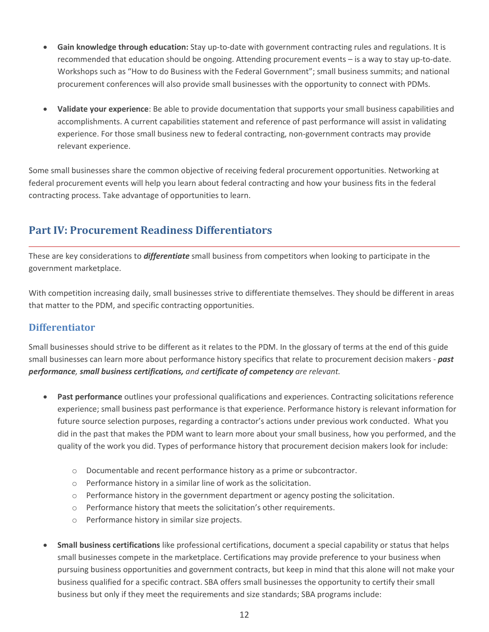- **Gain knowledge through education:** Stay up-to-date with government contracting rules and regulations. It is recommended that education should be ongoing. Attending procurement events – is a way to stay up-to-date. Workshops such as "How to do Business with the Federal Government"; small business summits; and national procurement conferences will also provide small businesses with the opportunity to connect with PDMs.
- **Validate your experience**: Be able to provide documentation that supports your small business capabilities and accomplishments. A current capabilities statement and reference of past performance will assist in validating experience. For those small business new to federal contracting, non-government contracts may provide relevant experience.

Some small businesses share the common objective of receiving federal procurement opportunities. Networking at federal procurement events will help you learn about federal contracting and how your business fits in the federal contracting process. Take advantage of opportunities to learn.

## <span id="page-11-0"></span>**Part IV: Procurement Readiness Differentiators**

These are key considerations to *differentiate* small business from competitors when looking to participate in the government marketplace.

With competition increasing daily, small businesses strive to differentiate themselves. They should be different in areas that matter to the PDM, and specific contracting opportunities.

## <span id="page-11-1"></span>**Differentiator**

Small businesses should strive to be different as it relates to the PDM. In the glossary of terms at the end of this guide small businesses can learn more about performance history specifics that relate to procurement decision makers - *past performance, small business certifications, and certificate of competency are relevant.* 

- **Past performance** outlines your professional qualifications and experiences. Contracting solicitations reference experience; small business past performance is that experience. Performance history is relevant information for future source selection purposes, regarding a contractor's actions under previous work conducted. What you did in the past that makes the PDM want to learn more about your small business, how you performed, and the quality of the work you did. Types of performance history that procurement decision makers look for include:
	- o Documentable and recent performance history as a prime or subcontractor.
	- o Performance history in a similar line of work as the solicitation.
	- $\circ$  Performance history in the government department or agency posting the solicitation.
	- o Performance history that meets the solicitation's other requirements.
	- o Performance history in similar size projects.
- **Small business certifications** like professional certifications, document a special capability or status that helps small businesses compete in the marketplace. Certifications may provide preference to your business when pursuing business opportunities and government contracts, but keep in mind that this alone will not make your business qualified for a specific contract. SBA offers small businesses the opportunity to certify their small business but only if they meet the requirements and size standards; SBA programs include: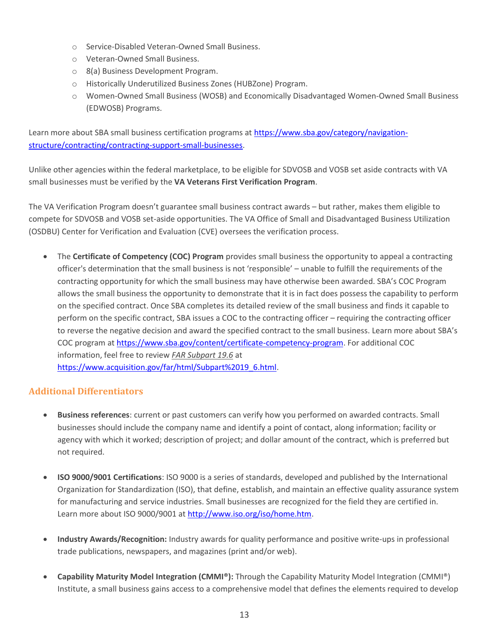- o Service-Disabled Veteran-Owned Small Business.
- o Veteran-Owned Small Business.
- o 8(a) Business Development Program.
- o Historically Underutilized Business Zones (HUBZone) Program.
- o Women-Owned Small Business (WOSB) and Economically Disadvantaged Women-Owned Small Business (EDWOSB) Programs.

Learn more about SBA small business certification programs at [https://www.sba.gov/category/navigation](https://www.sba.gov/category/navigation-structure/contracting/contracting-support-small-businesses)[structure/contracting/contracting-support-small-businesses.](https://www.sba.gov/category/navigation-structure/contracting/contracting-support-small-businesses)

Unlike other agencies within the federal marketplace, to be eligible for SDVOSB and VOSB set aside contracts with VA small businesses must be verified by the **VA Veterans First Verification Program**.

The VA Verification Program doesn't guarantee small business contract awards – but rather, makes them eligible to compete for SDVOSB and VOSB set-aside opportunities. The VA Office of Small and Disadvantaged Business Utilization (OSDBU) Center for Verification and Evaluation (CVE) oversees the verification process.

• The **Certificate of Competency (COC) Program** provides small business the opportunity to appeal a contracting officer's determination that the small business is not 'responsible' – unable to fulfill the requirements of the contracting opportunity for which the small business may have otherwise been awarded. SBA's COC Program allows the small business the opportunity to demonstrate that it is in fact does possess the capability to perform on the specified contract. Once SBA completes its detailed review of the small business and finds it capable to perform on the specific contract, SBA issues a COC to the contracting officer – requiring the contracting officer to reverse the negative decision and award the specified contract to the small business. Learn more about SBA's COC program at [https://www.sba.gov/content/certificate-competency-program.](https://www.sba.gov/content/certificate-competency-program) For additional COC information, feel free to review *FAR Subpart 19.6* at [https://www.acquisition.gov/far/html/Subpart%2019\\_6.html.](https://www.acquisition.gov/far/html/Subpart%2019_6.html)

#### **Additional Differentiators**

- **Business references**: current or past customers can verify how you performed on awarded contracts. Small businesses should include the company name and identify a point of contact, along information; facility or agency with which it worked; description of project; and dollar amount of the contract, which is preferred but not required.
- **ISO 9000/9001 Certifications**: ISO 9000 is a series of standards, developed and published by the International Organization for Standardization (ISO), that define, establish, and maintain an effective quality assurance system for manufacturing and service industries. Small businesses are recognized for the field they are certified in. Learn more about ISO 9000/9001 at [http://www.iso.org/iso/home.htm.](http://www.iso.org/iso/home.htm)
- **Industry Awards/Recognition:** Industry awards for quality performance and positive write-ups in professional trade publications, newspapers, and magazines (print and/or web).
- **Capability Maturity Model Integration (CMMI®):** Through the Capability Maturity Model Integration (CMMI®) Institute, a small business gains access to a comprehensive model that defines the elements required to develop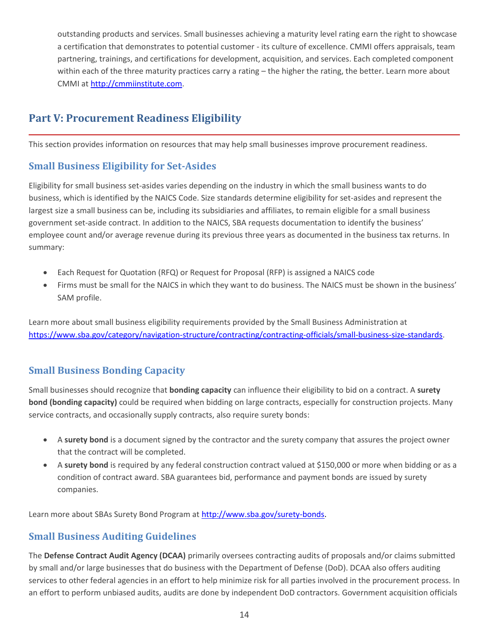outstanding products and services. Small businesses achieving a maturity level rating earn the right to showcase a certification that demonstrates to potential customer - its culture of excellence. CMMI offers appraisals, team partnering, trainings, and certifications for development, acquisition, and services. Each completed component within each of the three maturity practices carry a rating – the higher the rating, the better. Learn more about CMMI at [http://cmmiinstitute.com.](http://cmmiinstitute.com/)

## <span id="page-13-0"></span>**Part V: Procurement Readiness Eligibility**

This section provides information on resources that may help small businesses improve procurement readiness.

## <span id="page-13-1"></span>**Small Business Eligibility for Set-Asides**

Eligibility for small business set-asides varies depending on the industry in which the small business wants to do business, which is identified by the NAICS Code. Size standards determine eligibility for set-asides and represent the largest size a small business can be, including its subsidiaries and affiliates, to remain eligible for a small business government set-aside contract. In addition to the NAICS, SBA requests documentation to identify the business' employee count and/or average revenue during its previous three years as documented in the business tax returns. In summary:

- Each Request for Quotation (RFQ) or Request for Proposal (RFP) is assigned a NAICS code
- Firms must be small for the NAICS in which they want to do business. The NAICS must be shown in the business' SAM profile.

Learn more about small business eligibility requirements provided by the Small Business Administration at [https://www.sba.gov/category/navigation-structure/contracting/contracting-officials/small-business-size-standards.](https://www.sba.gov/category/navigation-structure/contracting/contracting-officials/small-business-size-standards)

## <span id="page-13-2"></span>**Small Business Bonding Capacity**

Small businesses should recognize that **bonding capacity** can influence their eligibility to bid on a contract. A **surety bond (bonding capacity)** could be required when bidding on large contracts, especially for construction projects. Many service contracts, and occasionally supply contracts, also require surety bonds:

- A **surety bond** is a document signed by the contractor and the surety company that assures the project owner that the contract will be completed.
- A **surety bond** is required by any federal construction contract valued at \$150,000 or more when bidding or as a condition of contract award. SBA guarantees bid, performance and payment bonds are issued by surety companies.

Learn more about SBAs Surety Bond Program at<http://www.sba.gov/surety-bonds.>

## <span id="page-13-3"></span>**Small Business Auditing Guidelines**

The **Defense Contract Audit Agency (DCAA)** primarily oversees contracting audits of proposals and/or claims submitted by small and/or large businesses that do business with the Department of Defense (DoD). DCAA also offers auditing services to other federal agencies in an effort to help minimize risk for all parties involved in the procurement process. In an effort to perform unbiased audits, audits are done by independent DoD contractors. Government acquisition officials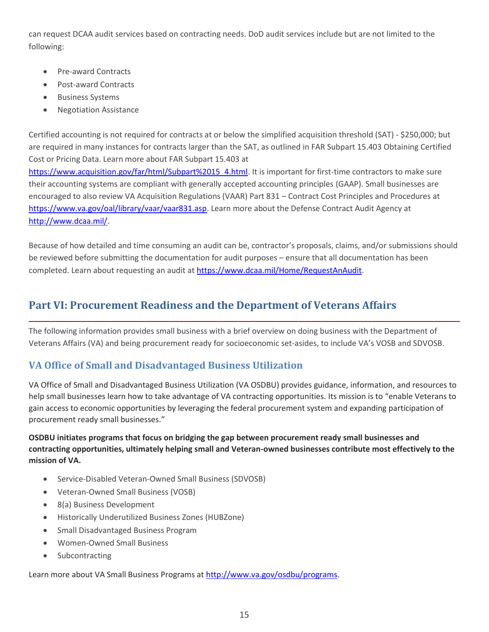can request DCAA audit services based on contracting needs. DoD audit services include but are not limited to the following:

- Pre-award Contracts
- Post-award Contracts
- **Business Systems**
- Negotiation Assistance

Certified accounting is not required for contracts at or below the simplified acquisition threshold (SAT) - \$250,000; but are required in many instances for contracts larger than the SAT, as outlined in FAR Subpart 15.403 Obtaining Certified Cost or Pricing Data. Learn more about FAR Subpart 15.403 at [https://www.acquisition.gov/far/html/Subpart%2015\\_4.html.](https://www.acquisition.gov/far/html/Subpart%2015_4.html) It is important for first-time contractors to make sure their accounting systems are compliant with generally accepted accounting principles (GAAP). Small businesses are encouraged to also review VA Acquisition Regulations (VAAR) Part 831 – Contract Cost Principles and Procedures at [https://www.va.gov/oal/library/vaar/vaar831.asp.](https://www.va.gov/oal/library/vaar/vaar831.asp) Learn more about the Defense Contract Audit Agency at [http://www.dcaa.mil/.](http://www.dcaa.mil/)

Because of how detailed and time consuming an audit can be, contractor's proposals, claims, and/or submissions should be reviewed before submitting the documentation for audit purposes – ensure that all documentation has been completed. Learn about requesting an audit at [https://www.dcaa.mil/Home/RequestAnAudit.](https://www.dcaa.mil/Home/RequestAnAudit)

## <span id="page-14-0"></span>**Part VI: Procurement Readiness and the Department of Veterans Affairs**

The following information provides small business with a brief overview on doing business with the Department of Veterans Affairs (VA) and being procurement ready for socioeconomic set-asides, to include VA's VOSB and SDVOSB.

## <span id="page-14-1"></span>**VA Office of Small and Disadvantaged Business Utilization**

VA Office of Small and Disadvantaged Business Utilization (VA OSDBU) provides guidance, information, and resources to help small businesses learn how to take advantage of VA contracting opportunities. Its mission is to "enable Veterans to gain access to economic opportunities by leveraging the federal procurement system and expanding participation of procurement ready small businesses."

**OSDBU initiates programs that focus on bridging the gap between procurement ready small businesses and contracting opportunities, ultimately helping small and Veteran-owned businesses contribute most effectively to the mission of VA.**

- [Service-Disabled Veteran-Owned Small Business](http://www.va.gov/osdbu/programs/sdvosb.asp) (SDVOSB)
- [Veteran-Owned Small Business](http://www.va.gov/osdbu/programs/vosb.asp) (VOSB)
- [8\(a\) Business Development](http://www.va.gov/osdbu/programs/8a.asp)
- [Historically Underutilized Business Zones](http://www.va.gov/osdbu/programs/hubzone.asp) (HUBZone)
- [Small Disadvantaged Business Program](http://www.va.gov/osdbu/programs/sdbp.asp)
- [Women-Owned Small Business](http://www.va.gov/osdbu/programs/wosb.asp)
- [Subcontracting](http://www.va.gov/osdbu/programs/subcontracting.asp)

Learn more about VA Small Business Programs at [http://www.va.gov/osdbu/programs.](http://www.va.gov/osdbu/programs/)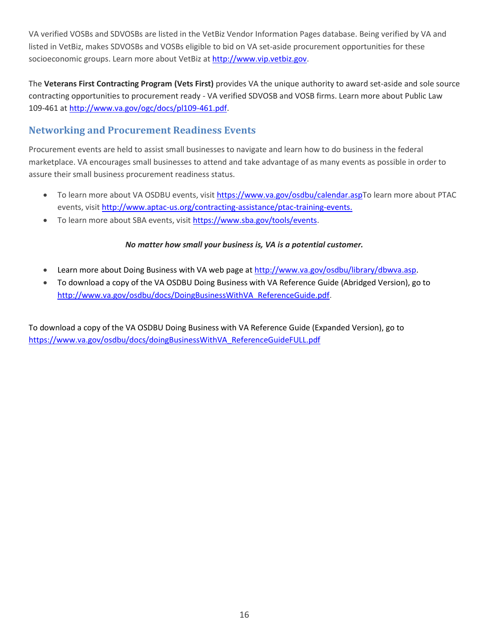VA verified VOSBs and SDVOSBs are listed in the VetBiz Vendor Information Pages database. Being verified by VA and listed in VetBiz, makes SDVOSBs and VOSBs eligible to bid on VA set-aside procurement opportunities for these socioeconomic groups. Learn more about VetBiz at [http://www.vip.vetbiz.gov.](http://www.vip.vetbiz.gov/)

The **Veterans First Contracting Program (Vets First)** provides VA the unique authority to award set-aside and sole source contracting opportunities to procurement ready - VA verified SDVOSB and VOSB firms. Learn more about Public Law 109-461 a[t http://www.va.gov/ogc/docs/pl109-461.pdf.](http://www.va.gov/ogc/docs/pl109-461.pdf)

## <span id="page-15-0"></span>**Networking and Procurement Readiness Events**

Procurement events are held to assist small businesses to navigate and learn how to do business in the federal marketplace. VA encourages small businesses to attend and take advantage of as many events as possible in order to assure their small business procurement readiness status.

- To learn more about VA OSDBU events, visit [https://www.va.gov/osdbu/calendar.aspT](https://www.va.gov/osdbu/calendar.asp)o learn more about PTAC events, visi[t http://www.aptac-us.org/contracting-assistance/ptac-training-events.](http://www.aptac-us.org/contracting-assistance/ptac-training-events)
- To learn more about SBA events, visit [https://www.sba.gov/tools/events.](https://www.sba.gov/tools/events)

#### *No matter how small your business is, VA is a potential customer.*

- Learn more about Doing Business with VA web page at [http://www.va.gov/osdbu/library/dbwva.asp.](http://www.va.gov/osdbu/library/dbwva.asp)
- To download a copy of the VA OSDBU Doing Business with VA Reference Guide (Abridged Version), go to [http://www.va.gov/osdbu/docs/DoingBusinessWithVA\\_ReferenceGuide.pdf.](http://www.va.gov/osdbu/docs/DoingBusinessWithVA_ReferenceGuide.pdf)

To download a copy of the VA OSDBU Doing Business with VA Reference Guide (Expanded Version), go to [https://www.va.gov/osdbu/docs/doingBusinessWithVA\\_ReferenceGuideFULL.pdf](https://www.va.gov/osdbu/docs/doingBusinessWithVA_ReferenceGuideFULL.pdf)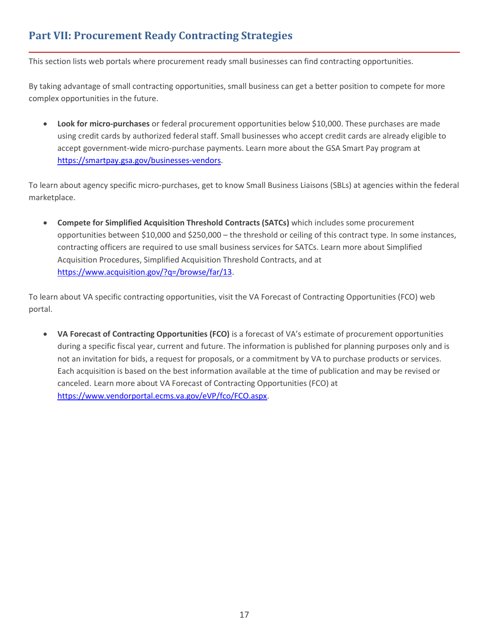## <span id="page-16-0"></span>**Part VII: Procurement Ready Contracting Strategies**

This section lists web portals where procurement ready small businesses can find contracting opportunities.

By taking advantage of small contracting opportunities, small business can get a better position to compete for more complex opportunities in the future.

• **Look for micro-purchases** or federal procurement opportunities below \$10,000. These purchases are made using credit cards by authorized federal staff. Small businesses who accept credit cards are already eligible to accept government-wide micro-purchase payments. Learn more about the GSA Smart Pay program at [https://smartpay.gsa.gov/businesses-vendors.](https://smartpay.gsa.gov/businesses-vendors)

To learn about agency specific micro-purchases, get to know Small Business Liaisons (SBLs) at agencies within the federal marketplace.

• **Compete for Simplified Acquisition Threshold Contracts (SATCs)** which includes some procurement opportunities between \$10,000 and \$250,000 – the threshold or ceiling of this contract type. In some instances, contracting officers are required to use small business services for SATCs. Learn more about Simplified Acquisition Procedures, Simplified Acquisition Threshold Contracts, and at [https://www.acquisition.gov/?q=/browse/far/13.](https://www.acquisition.gov/?q=/browse/far/13)

To learn about VA specific contracting opportunities, visit the VA Forecast of Contracting Opportunities (FCO) web portal.

• **VA Forecast of Contracting Opportunities (FCO)** is a forecast of VA's estimate of procurement opportunities during a specific fiscal year, current and future. The information is published for planning purposes only and is not an invitation for bids, a request for proposals, or a commitment by VA to purchase products or services. Each acquisition is based on the best information available at the time of publication and may be revised or canceled. Learn more about VA Forecast of Contracting Opportunities (FCO) at [https://www.vendorportal.ecms.va.gov/eVP/fco/FCO.aspx.](https://www.vendorportal.ecms.va.gov/eVP/fco/FCO.aspx)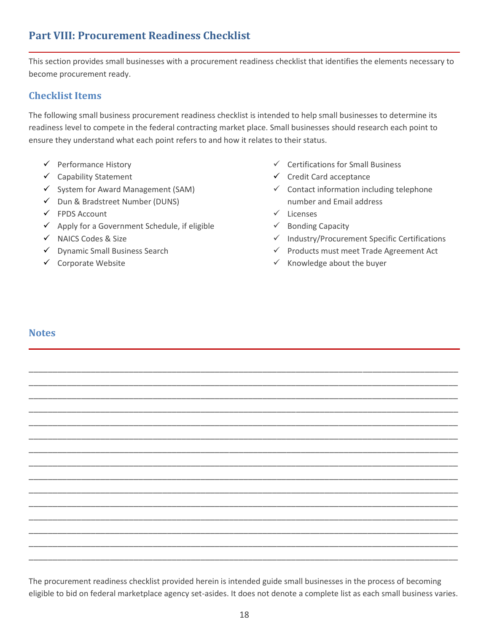## <span id="page-17-0"></span>**Part VIII: Procurement Readiness Checklist**

This section provides small businesses with a procurement readiness checklist that identifies the elements necessary to become procurement ready.

#### <span id="page-17-1"></span>**Checklist Items**

The following small business procurement readiness checklist is intended to help small businesses to determine its readiness level to compete in the federal contracting market place. Small businesses should research each point to ensure they understand what each point refers to and how it relates to their status.

- ✓ Performance History
- ✓ Capability Statement
- ✓ System for Award Management (SAM)
- ✓ Dun & Bradstreet Number (DUNS)
- ✓ FPDS Account
- $\checkmark$  Apply for a Government Schedule, if eligible
- ✓ NAICS Codes & Size
- ✓ Dynamic Small Business Search
- <span id="page-17-2"></span>✓ Corporate Website
- ✓ Certifications for Small Business
- ✓ Credit Card acceptance
- ✓ Contact information including telephone number and Email address
- ✓ Licenses
- ✓ Bonding Capacity
- ✓ Industry/Procurement Specific Certifications
- ✓ Products must meet Trade Agreement Act
- $\checkmark$  Knowledge about the buyer

#### **Notes**

The procurement readiness checklist provided herein is intended guide small businesses in the process of becoming eligible to bid on federal marketplace agency set-asides. It does not denote a complete list as each small business varies.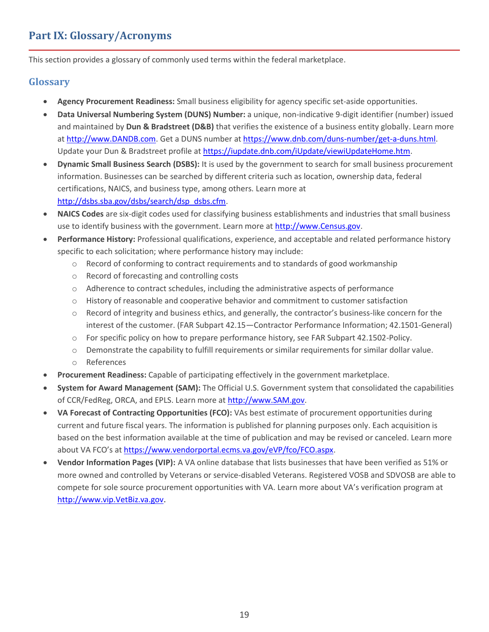## <span id="page-18-0"></span>**Part IX: Glossary/Acronyms**

This section provides a glossary of commonly used terms within the federal marketplace.

#### <span id="page-18-1"></span>**Glossary**

- **Agency Procurement Readiness:** Small business eligibility for agency specific set-aside opportunities.
- **Data Universal Numbering System (DUNS) Number:** a unique, non-indicative 9-digit identifier (number) issued and maintained by **Dun & Bradstreet (D&B)** that verifies the existence of a business entity globally. Learn more a[t http://www.DANDB.com.](http://www.dandb.com/) Get a DUNS number a[t https://www.dnb.com/duns-number/get-a-duns.html.](https://www.dnb.com/duns-number/get-a-duns.html) Update your Dun & Bradstreet profile at [https://iupdate.dnb.com/iUpdate/viewiUpdateHome.htm.](https://iupdate.dnb.com/iUpdate/viewiUpdateHome.htm)
- **Dynamic Small Business Search (DSBS):** It is used by the government to search for small business procurement information. Businesses can be searched by different criteria such as location, ownership data, federal certifications, NAICS, and business type, among others. Learn more at [http://dsbs.sba.gov/dsbs/search/dsp\\_dsbs.cfm.](http://dsbs.sba.gov/dsbs/search/dsp_dsbs.cfm)
- **NAICS Codes** are six-digit codes used for classifying business establishments and industries that small business use to identify business with the government. Learn more at [http://www.Census.gov.](http://www.census.gov/)
- **Performance History:** Professional qualifications, experience, and acceptable and related performance history specific to each solicitation; where performance history may include:
	- o Record of conforming to contract requirements and to standards of good workmanship
	- o Record of forecasting and controlling costs
	- o Adherence to contract schedules, including the administrative aspects of performance
	- o History of reasonable and cooperative behavior and commitment to customer satisfaction
	- $\circ$  Record of integrity and business ethics, and generally, the contractor's business-like concern for the interest of the customer. (FAR Subpart 42.15—Contractor Performance Information; 42.1501-General)
	- o For specific policy on how to prepare performance history, see FAR Subpart 42.1502-Policy.
	- o Demonstrate the capability to fulfill requirements or similar requirements for similar dollar value.
	- o References
- **Procurement Readiness:** Capable of participating effectively in the government marketplace.
- **System for Award Management (SAM):** The Official U.S. Government system that consolidated the capabilities of CCR/FedReg, ORCA, and EPLS. Learn more at [http://www.SAM.gov.](http://www.sam.gov/)
- **VA Forecast of Contracting Opportunities (FCO):** VAs best estimate of procurement opportunities during current and future fiscal years. The information is published for planning purposes only. Each acquisition is based on the best information available at the time of publication and may be revised or canceled. Learn more about VA FCO's at [https://www.vendorportal.ecms.va.gov/eVP/fco/FCO.aspx.](https://www.vendorportal.ecms.va.gov/eVP/fco/FCO.aspx)
- **Vendor Information Pages (VIP):** A VA online database that lists businesses that have been verified as 51% or more owned and controlled by Veterans or service-disabled Veterans. Registered VOSB and SDVOSB are able to compete for sole source procurement opportunities with VA. Learn more about VA's verification program at [http://www.vip.VetBiz.va.gov.](http://www.vip.vetbiz.va.gov/)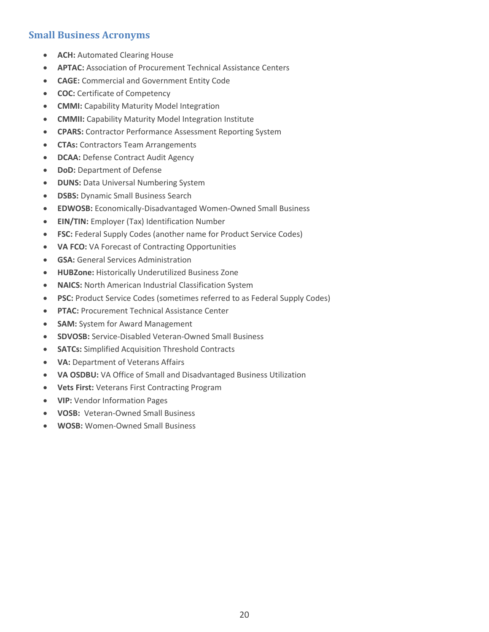## <span id="page-19-0"></span>**Small Business Acronyms**

- **ACH:** Automated Clearing House
- **APTAC:** Association of Procurement Technical Assistance Centers
- **CAGE:** Commercial and Government Entity Code
- **COC:** Certificate of Competency
- **CMMI:** Capability Maturity Model Integration
- **CMMII:** Capability Maturity Model Integration Institute
- **CPARS:** Contractor Performance Assessment Reporting System
- **CTAs:** Contractors Team Arrangements
- **DCAA:** Defense Contract Audit Agency
- **DoD: Department of Defense**
- **DUNS:** Data Universal Numbering System
- **DSBS:** Dynamic Small Business Search
- **EDWOSB:** Economically-Disadvantaged Women-Owned Small Business
- **EIN/TIN:** Employer (Tax) Identification Number
- **FSC:** Federal Supply Codes (another name for Product Service Codes)
- **VA FCO:** VA Forecast of Contracting Opportunities
- **GSA:** General Services Administration
- **HUBZone:** Historically Underutilized Business Zone
- **NAICS:** North American Industrial Classification System
- **PSC:** Product Service Codes (sometimes referred to as Federal Supply Codes)
- **PTAC:** Procurement Technical Assistance Center
- **SAM:** System for Award Management
- **SDVOSB:** Service-Disabled Veteran-Owned Small Business
- **SATCs:** Simplified Acquisition Threshold Contracts
- **VA:** Department of Veterans Affairs
- **VA OSDBU:** VA Office of Small and Disadvantaged Business Utilization
- **Vets First:** Veterans First Contracting Program
- **VIP:** Vendor Information Pages
- **VOSB:** Veteran-Owned Small Business
- **WOSB:** Women-Owned Small Business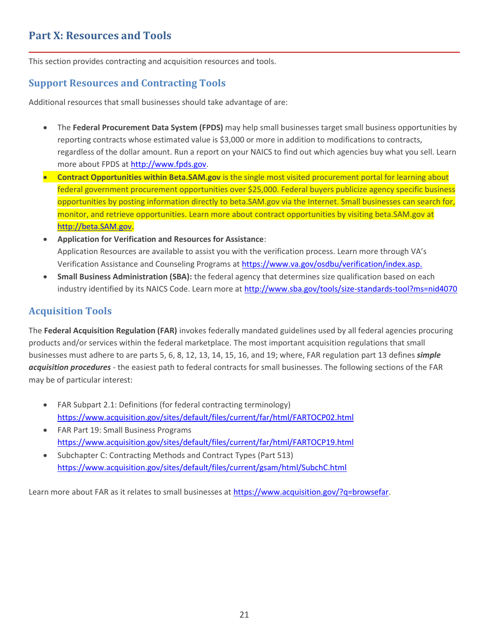<span id="page-20-0"></span>This section provides contracting and acquisition resources and tools.

## <span id="page-20-1"></span>**Support Resources and Contracting Tools**

Additional resources that small businesses should take advantage of are:

- The **Federal Procurement Data System (FPDS)** may help small businesses target small business opportunities by reporting contracts whose estimated value is \$3,000 or more in addition to modifications to contracts, regardless of the dollar amount. Run a report on your NAICS to find out which agencies buy what you sell. Learn more about FPDS a[t http://www.fpds.gov.](http://www.fpds.gov/)
- **Contract Opportunities within Beta.SAM.gov** is the single most visited procurement portal for learning about federal government procurement opportunities over \$25,000. Federal buyers publicize agency specific business opportunities by posting information directly to beta.SAM.gov via the Internet. Small businesses can search for, monitor, and retrieve opportunities. Learn more about contract opportunities by visiting beta.SAM.gov at [http://beta.SAM.gov.](http://beta.sam.gov/)
- **Application for Verification and Resources for Assistance**: Application Resources are available to assist you with the verification process. Learn more through VA's Verification Assistance and Counseling Programs a[t https://www.va.gov/osdbu/verification/index.asp.](https://www.va.gov/osdbu/verification/index.asp)
- **Small Business Administration (SBA):** the federal agency that determines size qualification based on each industry identified by its NAICS Code. Learn more at<http://www.sba.gov/tools/size-standards-tool?ms=nid4070>

## <span id="page-20-2"></span>**Acquisition Tools**

The **Federal Acquisition Regulation (FAR)** invokes federally mandated guidelines used by all federal agencies procuring products and/or services within the federal marketplace. The most important acquisition regulations that small businesses must adhere to are parts 5, 6, 8, 12, 13, 14, 15, 16, and 19; where, FAR regulation part 13 defines *simple acquisition procedures* - the easiest path to federal contracts for small businesses. The following sections of the FAR may be of particular interest:

- FAR Subpart 2.1: Definitions (for federal contracting terminology) <https://www.acquisition.gov/sites/default/files/current/far/html/FARTOCP02.html>
- FAR Part 19: Small Business Programs <https://www.acquisition.gov/sites/default/files/current/far/html/FARTOCP19.html>
- Subchapter C: Contracting Methods and Contract Types (Part 513) <https://www.acquisition.gov/sites/default/files/current/gsam/html/SubchC.html>

Learn more about FAR as it relates to small businesses at [https://www.acquisition.gov/?q=browsefar.](https://www.acquisition.gov/?q=browsefar)